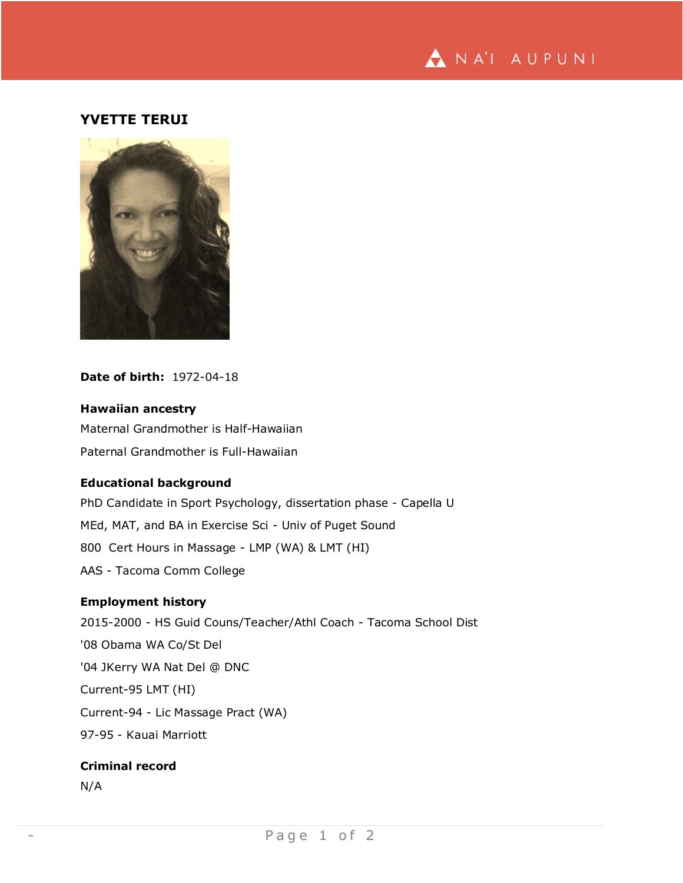

## **YVETTE TERUI**



**Date of birth:** 1972-04-18

## **Hawaiian ancestry**

Maternal Grandmother is Half-Hawaiian Paternal Grandmother is Full-Hawaiian

### **Educational background**

PhD Candidate in Sport Psychology, dissertation phase - Capella U MEd, MAT, and BA in Exercise Sci - Univ of Puget Sound 800 Cert Hours in Massage - LMP (WA) & LMT (HI) AAS - Tacoma Comm College

## **Employment history**

2015-2000 - HS Guid Couns/Teacher/Athl Coach - Tacoma School Dist '08 Obama WA Co/St Del '04 JKerry WA Nat Del @ DNC Current-95 LMT (HI) Current-94 - Lic Massage Pract (WA) 97-95 - Kauai Marriott

# **Criminal record**

N/A